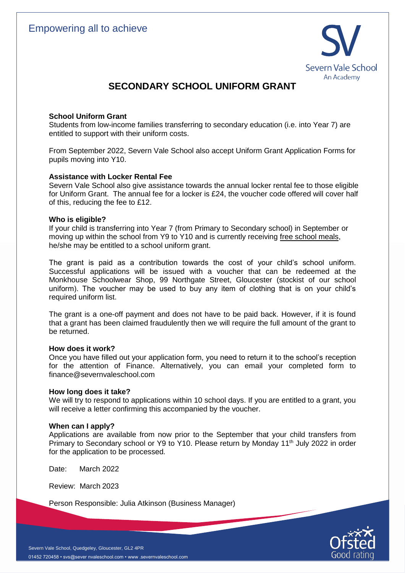

# **SECONDARY SCHOOL UNIFORM GRANT**

## **School Uniform Grant**

Students from low-income families transferring to secondary education (i.e. into Year 7) are entitled to support with their uniform costs.

From September 2022, Severn Vale School also accept Uniform Grant Application Forms for pupils moving into Y10.

## **Assistance with Locker Rental Fee**

Severn Vale School also give assistance towards the annual locker rental fee to those eligible for Uniform Grant. The annual fee for a locker is £24, the voucher code offered will cover half of this, reducing the fee to £12.

## **Who is eligible?**

If your child is transferring into Year 7 (from Primary to Secondary school) in September or moving up within the school from Y9 to Y10 and is currently receiving free school meals, he/she may be entitled to a school uniform grant.

The grant is paid as a contribution towards the cost of your child's school uniform. Successful applications will be issued with a voucher that can be redeemed at the Monkhouse Schoolwear Shop, 99 Northgate Street, Gloucester (stockist of our school uniform). The voucher may be used to buy any item of clothing that is on your child's required uniform list.

The grant is a one-off payment and does not have to be paid back. However, if it is found that a grant has been claimed fraudulently then we will require the full amount of the grant to be returned.

## **How does it work?**

Once you have filled out your application form, you need to return it to the school's reception for the attention of Finance. Alternatively, you can email your completed form to [finance@severnvaleschool.com](mailto:finance@severnvaleschool.com)

## **How long does it take?**

We will try to respond to applications within 10 school days. If you are entitled to a grant, you will receive a letter confirming this accompanied by the voucher.

## **When can I apply?**

Applications are available from now prior to the September that your child transfers from Primary to Secondary school or Y9 to Y10. Please return by Monday 11<sup>th</sup> July 2022 in order for the application to be processed.

Date: March 2022

Review: March 2023

Person Responsible: Julia Atkinson (Business Manager)